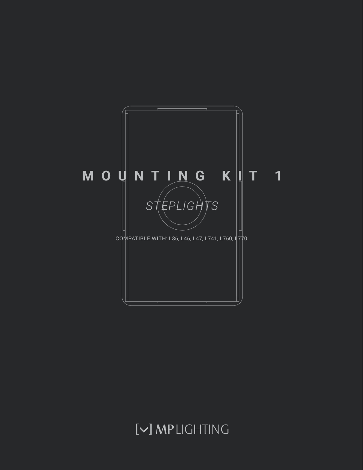

# [V] MPLIGHTING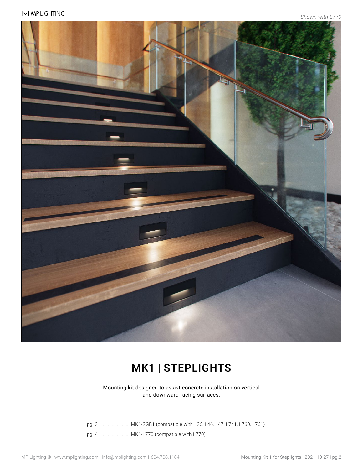

### MK1 | STEPLIGHTS

Mounting kit designed to assist concrete installation on vertical and downward-facing surfaces.

pg. 3 ........................ MK1-SGB1 (compatible with L36, L46, L47, L741, L760, L761) pg. 4 ........................ MK1-L770 (compatible with L770)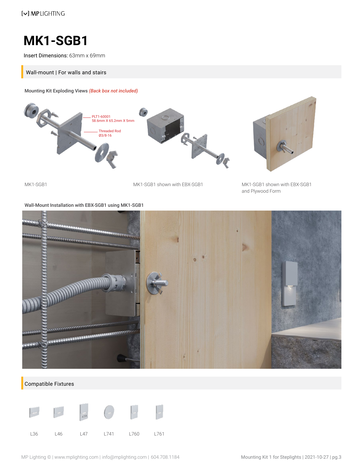### **MK1-SGB1**

Insert Dimensions: 63mm x 69mm

Wall-mount | For walls and stairs

Mounting Kit Exploding Views *(Back box not included)*



MK1-SGB1 MK1-SGB1 shown with EBX-SGB1 MK1-SGB1 shown with EBX-SGB1

and Plywood Form

Wall-Mount Installation with EBX-SGB1 using MK1-SGB1



#### Compatible Fixtures